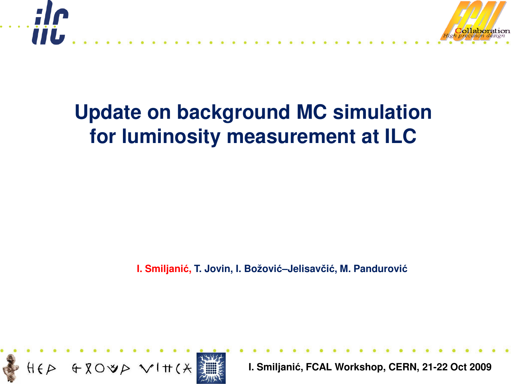

## **Update on background MC simulation for luminosity measurement at ILC**

**I. Smiljanić, T. Jovin, I. Božović–Jelisavčić, M. Pandurović**

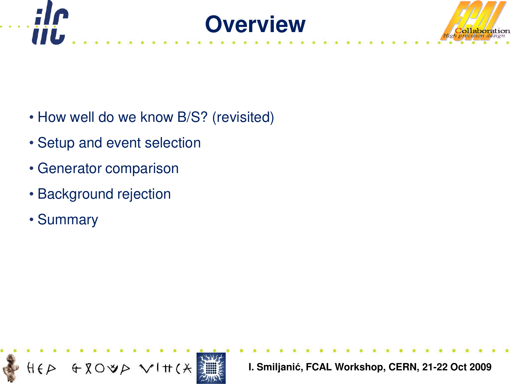



- How well do we know B/S? (revisited)
- Setup and event selection
- Generator comparison
- Background rejection
- Summary

m

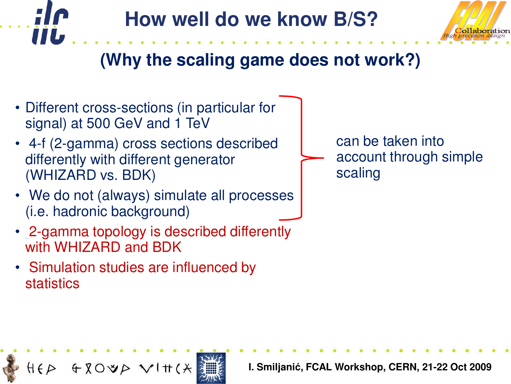



## **(Why the scaling game does not work?)**

- Different cross-sections (in particular for signal) at 500 GeV and 1 TeV
- 4-f (2-gamma) cross sections described differently with different generator (WHIZARD vs. BDK)
- We do not (always) simulate all processes (i.e. hadronic background)
- 2-gamma topology is described differently with WHIZARD and BDK
- Simulation studies are influenced by **statistics**

can be taken into account through simple scaling

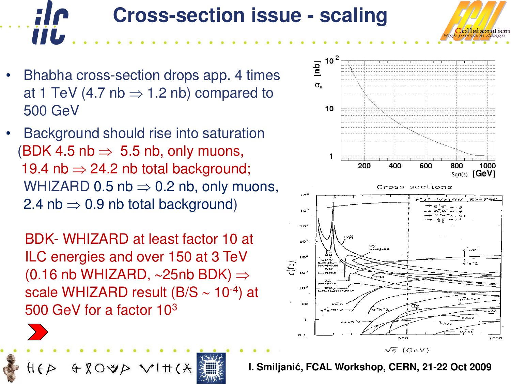# **Cross-section issue - scaling**

• Bhabha cross-section drops app. 4 times at 1 TeV (4.7 nb  $\Rightarrow$  1.2 nb) compared to 500 GeV

**IIL** 

 $H \in \mathcal{P}$ 

• Background should rise into saturation (BDK 4.5 nb  $\Rightarrow$  5.5 nb, only muons, 19.4 nb  $\Rightarrow$  24.2 nb total background; WHIZARD 0.5 nb  $\Rightarrow$  0.2 nb, only muons, 2.4 nb  $\Rightarrow$  0.9 nb total background)

BDK- WHIZARD at least factor 10 at ILC energies and over 150 at 3 TeV (0.16 nb WHIZARD, ∼25nb BDK) ⇒ scale WHIZARD result (B/S ∼ 10-4) at 500 GeV for a factor 10<sup>3</sup>

 $Q \times Q$ 

 $V$   $\uparrow$   $\uparrow$   $\uparrow$ 

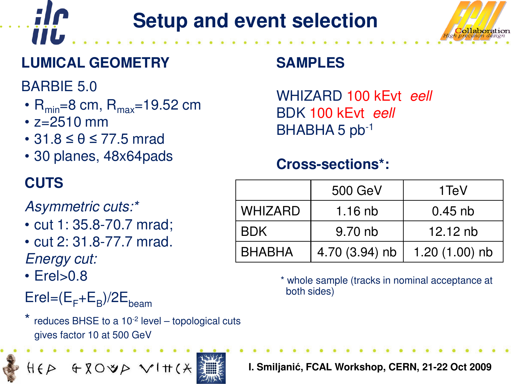# **Setup and event selection**



### **LUMICAL GEOMETRY**

BARBIE 5.0

**IIL** 

- $R_{\text{min}}=8$  cm,  $R_{\text{max}}=19.52$  cm
- z=2510 mm
- $\cdot$  31.8  $\leq \theta \leq$  77.5 mrad
- 30 planes, 48x64pads

### Asymmetric cuts:\*

- cut 1: 35.8-70.7 mrad;
- cut 2: 31.8-77.7 mrad. Energy cut:
- $\cdot$  Erel $>0.8$

 $\mathsf{E}$ rel= $(\mathsf{E}_\mathsf{F}$ + $\mathsf{E}_\mathsf{B})$ /2 $\mathsf{E}_\mathsf{beam}$ 

reduces BHSE to a  $10^{-2}$  level – topological cuts gives factor 10 at 500 GeV

HEP GROUP VIH(X



WHIZARD 100 kEvt eell BDK 100 kEvt eell BHABHA 5 pb-1

### **Cross-sections\*:**

| <b>CUTS</b>                                    |               | 500 GeV        | 1 TeV            |
|------------------------------------------------|---------------|----------------|------------------|
| Asymmetric cuts:*<br>• cut 1: 35.8-70.7 mrad;  | WHIZARD       | $1.16$ nb      | $0.45$ nb        |
|                                                | <b>BDK</b>    | 9.70 nb        | 12.12 $nb$       |
| • cut 2: 31.8-77.7 mrad.<br><b>Energy cutt</b> | <b>BHABHA</b> | 4.70 (3.94) nb | 1.20 $(1.00)$ nb |

\* whole sample (tracks in nominal acceptance at both sides)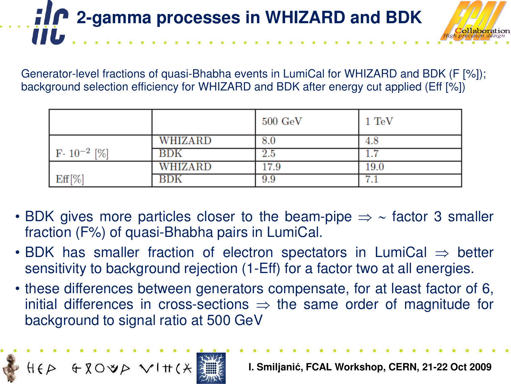## *2-gamma processes in WHIZARD and BDK* **IIL**

Generator-level fractions of quasi-Bhabha events in LumiCal for WHIZARD and BDK (F [%]); background selection efficiency for WHIZARD and BDK after energy cut applied (Eff [%])

|                       |         | $500\,\,{\rm GeV}\,$ | $1 \text{ TeV}$                  |
|-----------------------|---------|----------------------|----------------------------------|
|                       | WHIZARD | 8.0                  | 4.8                              |
| $F \cdot 10^{-2}$ [%] | BDK     | $2.5\,$              |                                  |
|                       | WHIZARD | 17.9                 | $19.0\,$                         |
| $\mathrm{Eff}[\%]$    | 31 DK   | 9.9                  | −<br>$\mathbf{1}$ . $\mathbf{1}$ |

- BDK gives more particles closer to the beam-pipe  $\Rightarrow \sim$  factor 3 smaller fraction (F%) of quasi-Bhabha pairs in LumiCal.
- BDK has smaller fraction of electron spectators in LumiCal  $\Rightarrow$  better sensitivity to background rejection (1-Eff) for a factor two at all energies.
- these differences between generators compensate, for at least factor of 6, initial differences in cross-sections  $\Rightarrow$  the same order of magnitude for background to signal ratio at 500 GeV

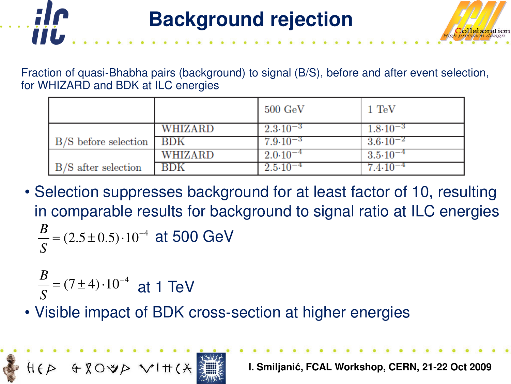



|                        |         | $500~{\rm GeV}$         | $1 \text{ TeV}$       |
|------------------------|---------|-------------------------|-----------------------|
|                        | WHIZARD | $2.3 \cdot 10^{-3}$     | $1.8 \cdot 10^{-3}$   |
| $B/S$ before selection | l BDK   | $7.9 \!\cdot\! 10^{-3}$ | $3.6\!\cdot\!10^{-2}$ |
|                        | WHIZARD | $2.0 \cdot 10^{-4}$     | $3.5 \cdot 10^{-4}$   |
| B/S after selection    | BDK     | $2.5 \!\cdot\! 10^{-4}$ | $7.4 \cdot 10^{-4}$   |

• Selection suppresses background for at least factor of 10, resulting in comparable results for background to signal ratio at ILC energies  $=(2.5\pm0.5)\cdot10^{-4}$  at 500 GeV *S B*

$$
\frac{B}{S} = (7 \pm 4) \cdot 10^{-4}
$$
 at 1 TeV

• Visible impact of BDK cross-section at higher energies

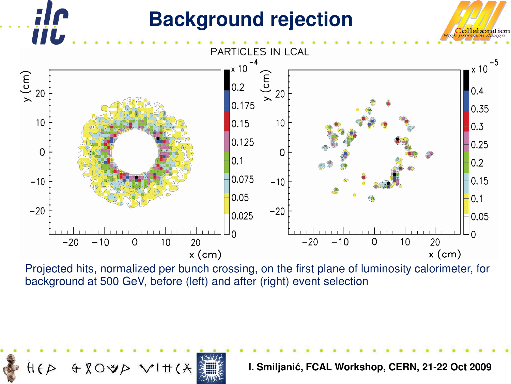# **VIL**

 $HFD$ 

### **Background rejection**



Projected hits, normalized per bunch crossing, on the first plane of luminosity calorimeter, for background at 500 GeV, before (left) and after (right) event selection



**I. Smiljanić, FCAL Workshop, CERN, 21-22 Oct 2009**

ollaboration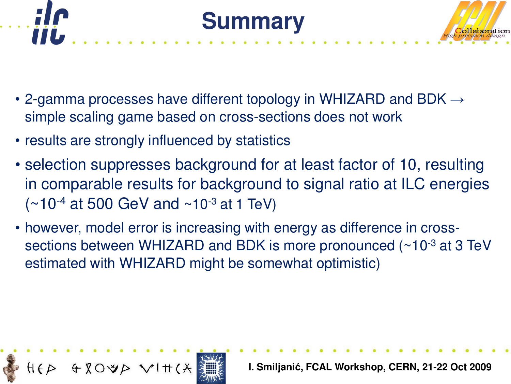

- 2-gamma processes have different topology in WHIZARD and BDK  $\rightarrow$ simple scaling game based on cross-sections does not work
- results are strongly influenced by statistics

ШЬ

- selection suppresses background for at least factor of 10, resulting in comparable results for background to signal ratio at ILC energies  $(*10^{-4}$  at 500 GeV and  $*10^{-3}$  at 1 TeV)
- however, model error is increasing with energy as difference in crosssections between WHIZARD and BDK is more pronounced (~10-3 at 3 TeV estimated with WHIZARD might be somewhat optimistic)

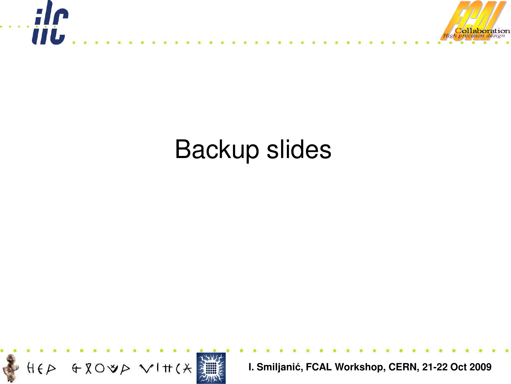

# Backup slides

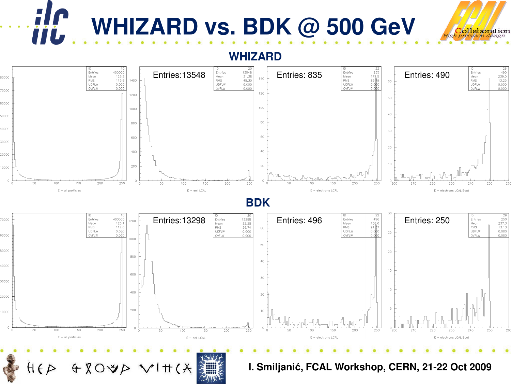

**WHIZARD**



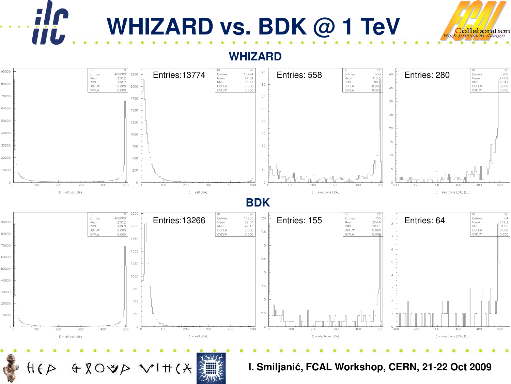

ill



**WHIZARD**

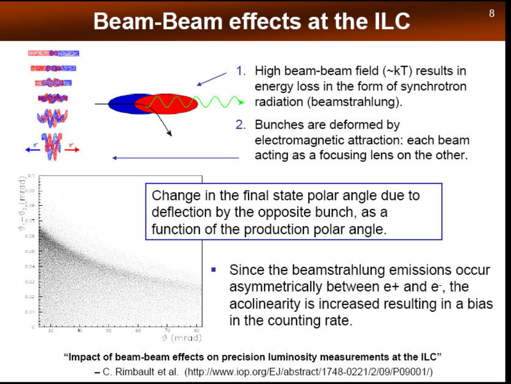# **Beam-Beam effects at the ILC**



 $\sqrt[3]{\frac{1}{9}}\sqrt[3]{\frac{1}{2}}\sqrt[3]{\frac{1}{9}}$ 

0.06

 $0.05$ 

0.04

 $0.03$ 

0.02

0.01

i.

- High beam-beam field  $(\sim kT)$  results in energy loss in the form of synchrotron radiation (beamstrahlung).
- 2. Bunches are deformed by electromagnetic attraction: each beam acting as a focusing lens on the other.

Change in the final state polar angle due to deflection by the opposite bunch, as a function of the production polar angle.

> Since the beamstrahlung emissions occur asymmetrically between e+ and e-, the acolinearity is increased resulting in a bias in the counting rate.

"Impact of beam-beam effects on precision luminosity measurements at the ILC" - C. Rimbault et al. (http://www.iop.org/EJ/abstract/1748-0221/2/09/P09001/)

 $\vartheta$  (mrad)